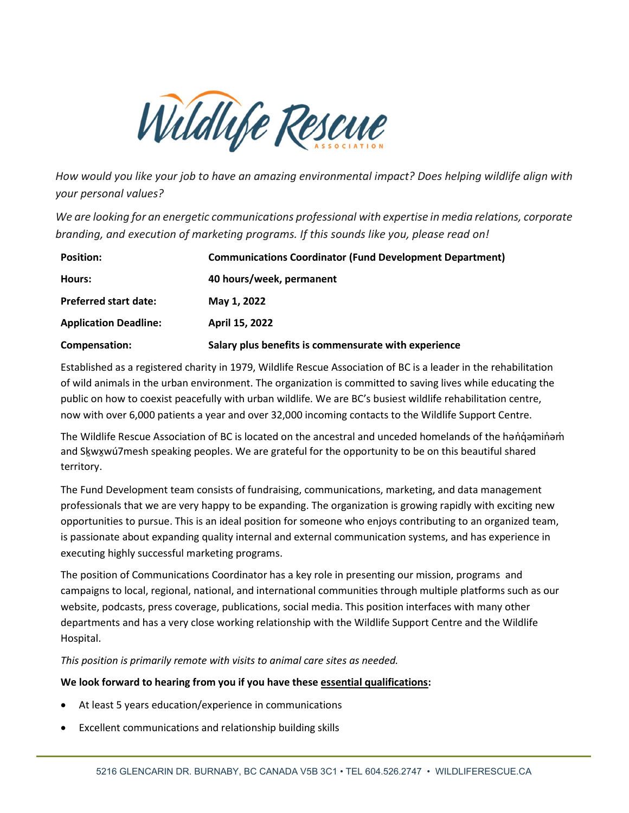

How would you like your job to have an amazing environmental impact? Does helping wildlife align with your personal values?

We are looking for an energetic communications professional with expertise in media relations, corporate branding, and execution of marketing programs. If this sounds like you, please read on!

| <b>Position:</b>             | <b>Communications Coordinator (Fund Development Department)</b> |
|------------------------------|-----------------------------------------------------------------|
| Hours:                       | 40 hours/week, permanent                                        |
| <b>Preferred start date:</b> | May 1, 2022                                                     |
| <b>Application Deadline:</b> | April 15, 2022                                                  |
| Compensation:                | Salary plus benefits is commensurate with experience            |

Established as a registered charity in 1979, Wildlife Rescue Association of BC is a leader in the rehabilitation of wild animals in the urban environment. The organization is committed to saving lives while educating the public on how to coexist peacefully with urban wildlife. We are BC's busiest wildlife rehabilitation centre, now with over 6,000 patients a year and over 32,000 incoming contacts to the Wildlife Support Centre.

The Wildlife Rescue Association of BC is located on the ancestral and unceded homelands of the hanque minam and Sḵwx̱wú7mesh speaking peoples. We are grateful for the opportunity to be on this beautiful shared territory.

The Fund Development team consists of fundraising, communications, marketing, and data management professionals that we are very happy to be expanding. The organization is growing rapidly with exciting new opportunities to pursue. This is an ideal position for someone who enjoys contributing to an organized team, is passionate about expanding quality internal and external communication systems, and has experience in executing highly successful marketing programs.

The position of Communications Coordinator has a key role in presenting our mission, programs and campaigns to local, regional, national, and international communities through multiple platforms such as our website, podcasts, press coverage, publications, social media. This position interfaces with many other departments and has a very close working relationship with the Wildlife Support Centre and the Wildlife Hospital.

This position is primarily remote with visits to animal care sites as needed.

# We look forward to hearing from you if you have these essential qualifications:

- At least 5 years education/experience in communications
- Excellent communications and relationship building skills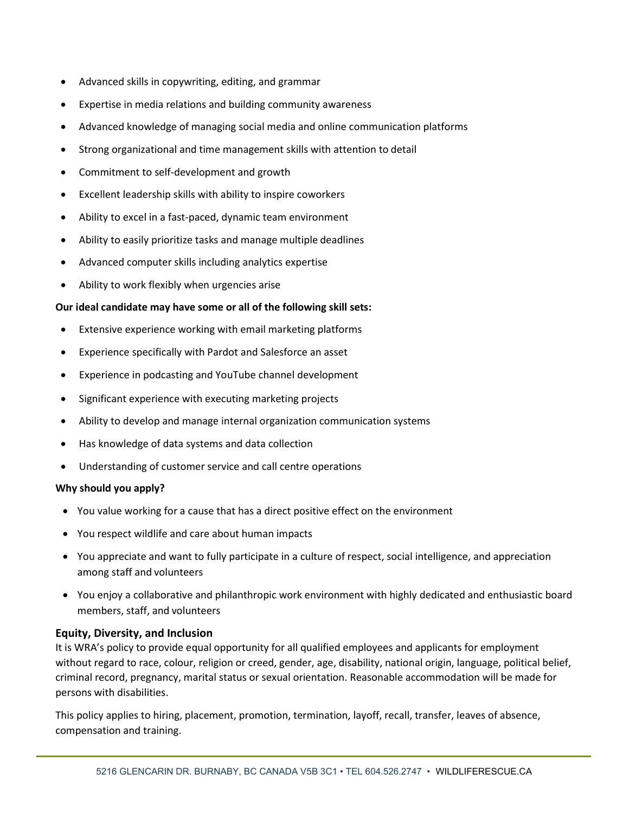- Advanced skills in copywriting, editing, and grammar
- Expertise in media relations and building community awareness
- Advanced knowledge of managing social media and online communication platforms
- Strong organizational and time management skills with attention to detail
- Commitment to self-development and growth
- Excellent leadership skills with ability to inspire coworkers
- Ability to excel in a fast-paced, dynamic team environment
- Ability to easily prioritize tasks and manage multiple deadlines
- Advanced computer skills including analytics expertise
- Ability to work flexibly when urgencies arise

### Our ideal candidate may have some or all of the following skill sets:

- Extensive experience working with email marketing platforms
- Experience specifically with Pardot and Salesforce an asset
- Experience in podcasting and YouTube channel development
- Significant experience with executing marketing projects
- Ability to develop and manage internal organization communication systems
- Has knowledge of data systems and data collection
- Understanding of customer service and call centre operations

### Why should you apply?

- You value working for a cause that has a direct positive effect on the environment
- You respect wildlife and care about human impacts
- You appreciate and want to fully participate in a culture of respect, social intelligence, and appreciation among staff and volunteers
- You enjoy a collaborative and philanthropic work environment with highly dedicated and enthusiastic board members, staff, and volunteers

### Equity, Diversity, and Inclusion

It is WRA's policy to provide equal opportunity for all qualified employees and applicants for employment without regard to race, colour, religion or creed, gender, age, disability, national origin, language, political belief, criminal record, pregnancy, marital status or sexual orientation. Reasonable accommodation will be made for persons with disabilities.

This policy applies to hiring, placement, promotion, termination, layoff, recall, transfer, leaves of absence, compensation and training.